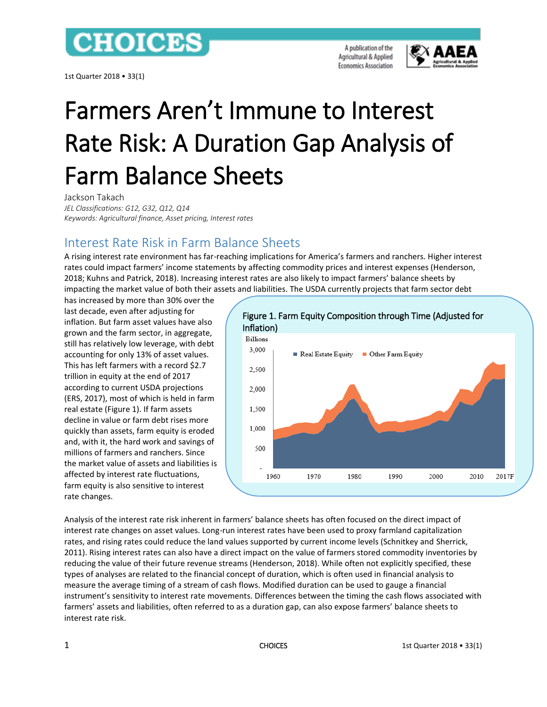## **CHOICES**

1st Quarter 2018 • 33(1)

A publication of the Agricultural & Applied **Economics Association** 



# Farmers Aren't Immune to Interest Rate Risk: A Duration Gap Analysis of Farm Balance Sheets

Jackson Takach

*JEL Classifications: G12, G32, Q12, Q14 Keywords: Agricultural finance, Asset pricing, Interest rates*

## Interest Rate Risk in Farm Balance Sheets

A rising interest rate environment has far-reaching implications for America's farmers and ranchers. Higher interest rates could impact farmers' income statements by affecting commodity prices and interest expenses (Henderson, 2018; Kuhns and Patrick, 2018). Increasing interest rates are also likely to impact farmers' balance sheets by impacting the market value of both their assets and liabilities. The USDA currently projects that farm sector debt

has increased by more than 30% over the last decade, even after adjusting for inflation. But farm asset values have also grown and the farm sector, in aggregate, still has relatively low leverage, with debt accounting for only 13% of asset values. This has left farmers with a record \$2.7 trillion in equity at the end of 2017 according to current USDA projections (ERS, 2017), most of which is held in farm real estate (Figure 1). If farm assets decline in value or farm debt rises more quickly than assets, farm equity is eroded and, with it, the hard work and savings of millions of farmers and ranchers. Since the market value of assets and liabilities is affected by interest rate fluctuations, farm equity is also sensitive to interest rate changes.



Analysis of the interest rate risk inherent in farmers' balance sheets has often focused on the direct impact of interest rate changes on asset values. Long-run interest rates have been used to proxy farmland capitalization rates, and rising rates could reduce the land values supported by current income levels (Schnitkey and Sherrick, 2011). Rising interest rates can also have a direct impact on the value of farmers stored commodity inventories by reducing the value of their future revenue streams (Henderson, 2018). While often not explicitly specified, these types of analyses are related to the financial concept of duration, which is often used in financial analysis to measure the average timing of a stream of cash flows. Modified duration can be used to gauge a financial instrument's sensitivity to interest rate movements. Differences between the timing the cash flows associated with farmers' assets and liabilities, often referred to as a duration gap, can also expose farmers' balance sheets to interest rate risk.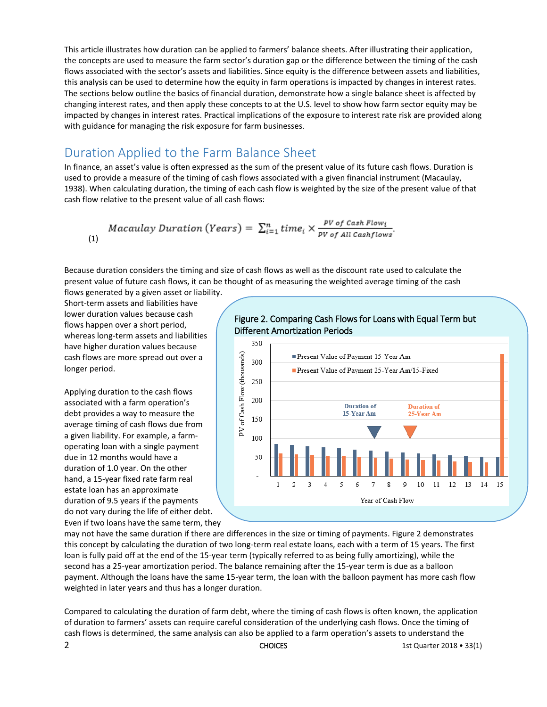This article illustrates how duration can be applied to farmers' balance sheets. After illustrating their application, the concepts are used to measure the farm sector's duration gap or the difference between the timing of the cash flows associated with the sector's assets and liabilities. Since equity is the difference between assets and liabilities, this analysis can be used to determine how the equity in farm operations is impacted by changes in interest rates. The sections below outline the basics of financial duration, demonstrate how a single balance sheet is affected by changing interest rates, and then apply these concepts to at the U.S. level to show how farm sector equity may be impacted by changes in interest rates. Practical implications of the exposure to interest rate risk are provided along with guidance for managing the risk exposure for farm businesses.

## Duration Applied to the Farm Balance Sheet

In finance, an asset's value is often expressed as the sum of the present value of its future cash flows. Duration is used to provide a measure of the timing of cash flows associated with a given financial instrument (Macaulay, 1938). When calculating duration, the timing of each cash flow is weighted by the size of the present value of that cash flow relative to the present value of all cash flows:

$$
Macaulay \;Duration\left(Years\right) = \sum_{i=1}^{n} time_i \times \frac{PV \; of \; Cash \; Flow_i}{PV \; of \; All \; Cash flows}.
$$

Because duration considers the timing and size of cash flows as well as the discount rate used to calculate the present value of future cash flows, it can be thought of as measuring the weighted average timing of the cash flows generated by a given asset or liability.

Short-term assets and liabilities have lower duration values because cash flows happen over a short period, whereas long-term assets and liabilities have higher duration values because cash flows are more spread out over a longer period.

Applying duration to the cash flows associated with a farm operation's debt provides a way to measure the average timing of cash flows due from a given liability. For example, a farmoperating loan with a single payment due in 12 months would have a duration of 1.0 year. On the other hand, a 15-year fixed rate farm real estate loan has an approximate duration of 9.5 years if the payments do not vary during the life of either debt. Even if two loans have the same term, they

#### Figure 2. Comparing Cash Flows for Loans with Equal Term but Different Amortization Periods



may not have the same duration if there are differences in the size or timing of payments. Figure 2 demonstrates this concept by calculating the duration of two long-term real estate loans, each with a term of 15 years. The first loan is fully paid off at the end of the 15-year term (typically referred to as being fully amortizing), while the second has a 25-year amortization period. The balance remaining after the 15-year term is due as a balloon payment. Although the loans have the same 15-year term, the loan with the balloon payment has more cash flow weighted in later years and thus has a longer duration.

Compared to calculating the duration of farm debt, where the timing of cash flows is often known, the application of duration to farmers' assets can require careful consideration of the underlying cash flows. Once the timing of cash flows is determined, the same analysis can also be applied to a farm operation's assets to understand the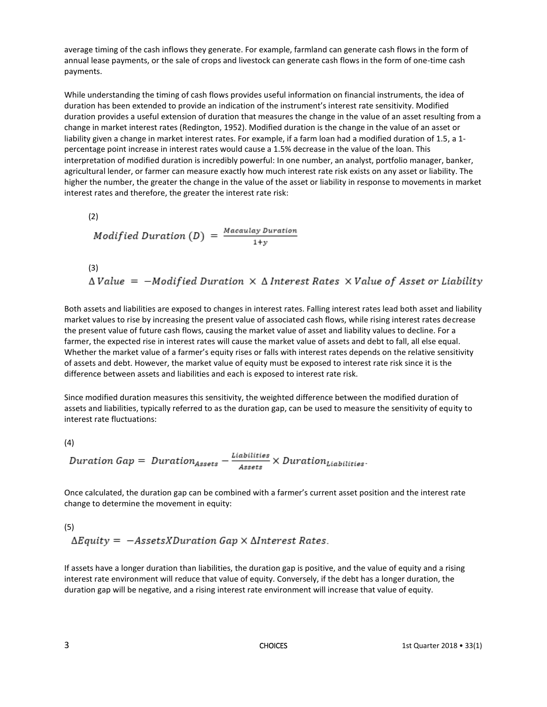average timing of the cash inflows they generate. For example, farmland can generate cash flows in the form of annual lease payments, or the sale of crops and livestock can generate cash flows in the form of one-time cash payments.

While understanding the timing of cash flows provides useful information on financial instruments, the idea of duration has been extended to provide an indication of the instrument's interest rate sensitivity. Modified duration provides a useful extension of duration that measures the change in the value of an asset resulting from a change in market interest rates (Redington, 1952). Modified duration is the change in the value of an asset or liability given a change in market interest rates. For example, if a farm loan had a modified duration of 1.5, a 1 percentage point increase in interest rates would cause a 1.5% decrease in the value of the loan. This interpretation of modified duration is incredibly powerful: In one number, an analyst, portfolio manager, banker, agricultural lender, or farmer can measure exactly how much interest rate risk exists on any asset or liability. The higher the number, the greater the change in the value of the asset or liability in response to movements in market interest rates and therefore, the greater the interest rate risk:

\n- (2)
\n- $$
Modified\;Duration\left(D\right) = \frac{Macaulay\;Duration}{1+y}
$$
\n- (3)
\n

$$
\triangle Value = -Modified\;Duration \times \triangle\; Interest\; Rates \times Value\;of\; Asset\;or\;Liability
$$

Both assets and liabilities are exposed to changes in interest rates. Falling interest rates lead both asset and liability market values to rise by increasing the present value of associated cash flows, while rising interest rates decrease the present value of future cash flows, causing the market value of asset and liability values to decline. For a farmer, the expected rise in interest rates will cause the market value of assets and debt to fall, all else equal. Whether the market value of a farmer's equity rises or falls with interest rates depends on the relative sensitivity of assets and debt. However, the market value of equity must be exposed to interest rate risk since it is the difference between assets and liabilities and each is exposed to interest rate risk.

Since modified duration measures this sensitivity, the weighted difference between the modified duration of assets and liabilities, typically referred to as the duration gap, can be used to measure the sensitivity of equity to interest rate fluctuations:

(4)

$$
Duration\ Gap=\frac{Duration_{Assets}-\frac{Liabilities}{Assets}}{Assets}\times \text{Duration}_{Liabilities}.
$$

Once calculated, the duration gap can be combined with a farmer's current asset position and the interest rate change to determine the movement in equity:

#### (5)  $\Delta$ Equity =  $-$ AssetsXDuration Gap  $\times$   $\Delta$ Interest Rates.

If assets have a longer duration than liabilities, the duration gap is positive, and the value of equity and a rising interest rate environment will reduce that value of equity. Conversely, if the debt has a longer duration, the duration gap will be negative, and a rising interest rate environment will increase that value of equity.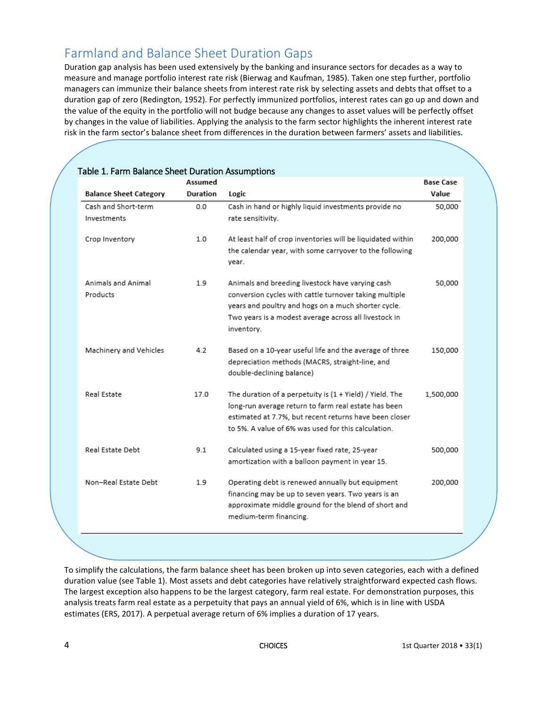## Farmland and Balance Sheet Duration Gaps

Duration gap analysis has been used extensively by the banking and insurance sectors for decades as a way to measure and manage portfolio interest rate risk (Bierwag and Kaufman, 1985). Taken one step further, portfolio managers can immunize their balance sheets from interest rate risk by selecting assets and debts that offset to a duration gap of zero (Redington, 1952). For perfectly immunized portfolios, interest rates can go up and down and the value of the equity in the portfolio will not budge because any changes to asset values will be perfectly offset by changes in the value of liabilities. Applying the analysis to the farm sector highlights the inherent interest rate risk in the farm sector's balance sheet from differences in the duration between farmers' assets and liabilities.

|                               | Assumed  |                                                             | <b>Base Case</b> |
|-------------------------------|----------|-------------------------------------------------------------|------------------|
| <b>Balance Sheet Category</b> | Duration | Logic                                                       | Value            |
| Cash and Short-term           | 0.0      | Cash in hand or highly liquid investments provide no        | 50,000           |
| Investments                   |          | rate sensitivity.                                           |                  |
| Crop Inventory                | 1.0      | At least half of crop inventories will be liquidated within | 200,000          |
|                               |          | the calendar year, with some carryover to the following     |                  |
|                               |          | year.                                                       |                  |
| Animals and Animal            | 1.9      | Animals and breeding livestock have varying cash            | 50,000           |
| Products                      |          | conversion cycles with cattle turnover taking multiple      |                  |
|                               |          | years and poultry and hogs on a much shorter cycle.         |                  |
|                               |          | Two years is a modest average across all livestock in       |                  |
|                               |          | inventory.                                                  |                  |
| Machinery and Vehicles        | 4.2      | Based on a 10-year useful life and the average of three     | 150,000          |
|                               |          | depreciation methods (MACRS, straight-line, and             |                  |
|                               |          | double-declining balance)                                   |                  |
| Real Estate                   | 17.0     | The duration of a perpetuity is (1 + Yield) / Yield. The    | 1,500,000        |
|                               |          | long-run average return to farm real estate has been        |                  |
|                               |          | estimated at 7.7%, but recent returns have been closer      |                  |
|                               |          | to 5%. A value of 6% was used for this calculation.         |                  |
| Real Estate Debt              | 9.1      | Calculated using a 15-year fixed rate, 25-year              | 500,000          |
|                               |          | amortization with a balloon payment in year 15.             |                  |
| Non-Real Estate Debt          | 1.9      | Operating debt is renewed annually but equipment            | 200,000          |
|                               |          | financing may be up to seven years. Two years is an         |                  |
|                               |          | approximate middle ground for the blend of short and        |                  |
|                               |          | medium-term financing.                                      |                  |

To simplify the calculations, the farm balance sheet has been broken up into seven categories, each with a defined duration value (see Table 1). Most assets and debt categories have relatively straightforward expected cash flows. The largest exception also happens to be the largest category, farm real estate. For demonstration purposes, this analysis treats farm real estate as a perpetuity that pays an annual yield of 6%, which is in line with USDA estimates (ERS, 2017). A perpetual average return of 6% implies a duration of 17 years.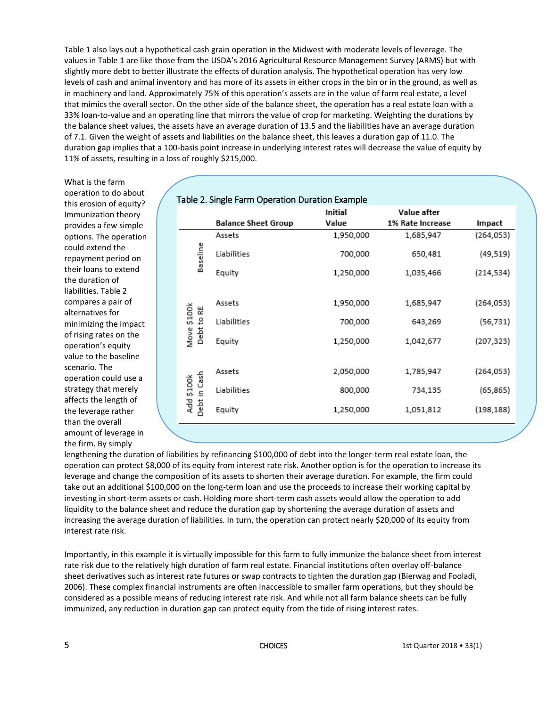Table 1 also lays out a hypothetical cash grain operation in the Midwest with moderate levels of leverage. The values in Table 1 are like those from the USDA's 2016 Agricultural Resource Management Survey (ARMS) but with slightly more debt to better illustrate the effects of duration analysis. The hypothetical operation has very low levels of cash and animal inventory and has more of its assets in either crops in the bin or in the ground, as well as in machinery and land. Approximately 75% of this operation's assets are in the value of farm real estate, a level that mimics the overall sector. On the other side of the balance sheet, the operation has a real estate loan with a 33% loan-to-value and an operating line that mirrors the value of crop for marketing. Weighting the durations by the balance sheet values, the assets have an average duration of 13.5 and the liabilities have an average duration of 7.1. Given the weight of assets and liabilities on the balance sheet, this leaves a duration gap of 11.0. The duration gap implies that a 100-basis point increase in underlying interest rates will decrease the value of equity by 11% of assets, resulting in a loss of roughly \$215,000.

What is the farm operation to do about this erosion of equity? Immunization theory provides a few simple options. The operation could extend the repayment period on their loans to extend the duration of liabilities. Table 2 compares a pair of alternatives for minimizing the impact of rising rates on the operation's equity value to the baseline scenario. The operation could use a strategy that merely affects the length of the leverage rather than the overall amount of leverage in the firm. By simply

| Table 2. Single Farm Operation Duration Example |                            |           |                  |            |  |  |  |
|-------------------------------------------------|----------------------------|-----------|------------------|------------|--|--|--|
|                                                 |                            | Initial   | Value after      |            |  |  |  |
|                                                 | <b>Balance Sheet Group</b> | Value     | 1% Rate Increase | Impact     |  |  |  |
|                                                 | Assets                     | 1,950,000 | 1,685,947        | (264,053)  |  |  |  |
| Baseline                                        | Liabilities                | 700,000   | 650,481          | (49, 519)  |  |  |  |
|                                                 | Equity                     | 1,250,000 | 1,035,466        | (214, 534) |  |  |  |
|                                                 | Assets                     | 1,950,000 | 1,685,947        | (264, 053) |  |  |  |
| Move \$100k<br>Debt to RE                       | Liabilities                | 700,000   | 643,269          | (56,731)   |  |  |  |
|                                                 | Equity                     | 1,250,000 | 1,042,677        | (207, 323) |  |  |  |
| Debt in Cash<br>Add \$100k                      | Assets                     | 2,050,000 | 1,785,947        | (264, 053) |  |  |  |
|                                                 | Liabilities                | 800,000   | 734,135          | (65, 865)  |  |  |  |
|                                                 | Equity                     | 1,250,000 | 1,051,812        | (198, 188) |  |  |  |
|                                                 |                            |           |                  |            |  |  |  |

lengthening the duration of liabilities by refinancing \$100,000 of debt into the longer-term real estate loan, the operation can protect \$8,000 of its equity from interest rate risk. Another option is for the operation to increase its leverage and change the composition of its assets to shorten their average duration. For example, the firm could take out an additional \$100,000 on the long-term loan and use the proceeds to increase their working capital by investing in short-term assets or cash. Holding more short-term cash assets would allow the operation to add liquidity to the balance sheet and reduce the duration gap by shortening the average duration of assets and increasing the average duration of liabilities. In turn, the operation can protect nearly \$20,000 of its equity from interest rate risk.

Importantly, in this example it is virtually impossible for this farm to fully immunize the balance sheet from interest rate risk due to the relatively high duration of farm real estate. Financial institutions often overlay off-balance sheet derivatives such as interest rate futures or swap contracts to tighten the duration gap (Bierwag and Fooladi, 2006). These complex financial instruments are often inaccessible to smaller farm operations, but they should be considered as a possible means of reducing interest rate risk. And while not all farm balance sheets can be fully immunized, any reduction in duration gap can protect equity from the tide of rising interest rates.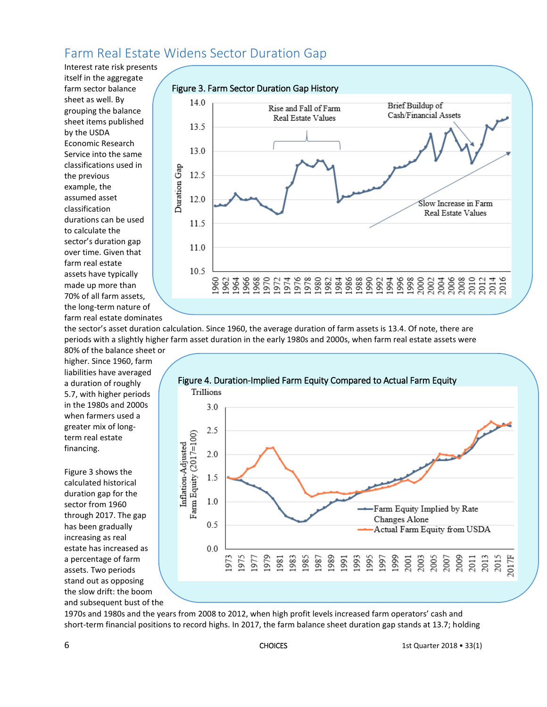## Farm Real Estate Widens Sector Duration Gap

Interest rate risk presents itself in the aggregate farm sector balance sheet as well. By grouping the balance sheet items published by the USDA Economic Research Service into the same classifications used in the previous example, the assumed asset classification durations can be used to calculate the sector's duration gap over time. Given that farm real estate assets have typically made up more than 70% of all farm assets, the long-term nature of farm real estate dominates



the sector's asset duration calculation. Since 1960, the average duration of farm assets is 13.4. Of note, there are periods with a slightly higher farm asset duration in the early 1980s and 2000s, when farm real estate assets were

80% of the balance sheet or higher. Since 1960, farm liabilities have averaged a duration of roughly 5.7, with higher periods in the 1980s and 2000s when farmers used a greater mix of longterm real estate financing.

Figure 3 shows the calculated historical duration gap for the sector from 1960 through 2017. The gap has been gradually increasing as real estate has increased as a percentage of farm assets. Two periods stand out as opposing the slow drift: the boom and subsequent bust of the



1970s and 1980s and the years from 2008 to 2012, when high profit levels increased farm operators' cash and short-term financial positions to record highs. In 2017, the farm balance sheet duration gap stands at 13.7; holding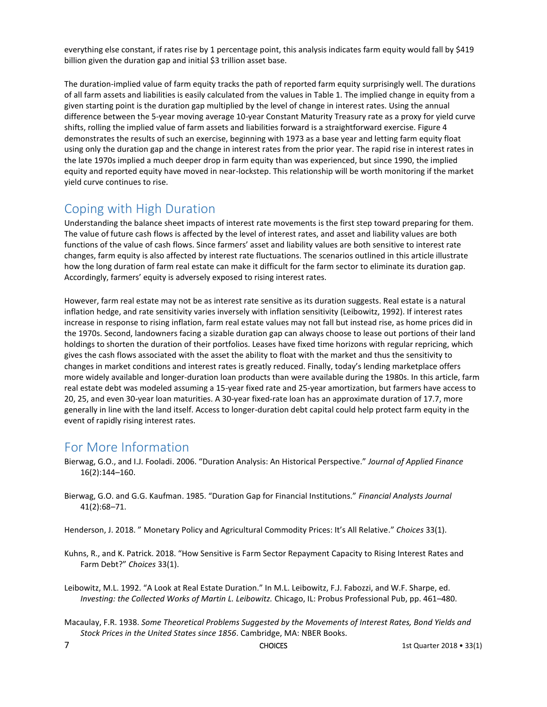everything else constant, if rates rise by 1 percentage point, this analysis indicates farm equity would fall by \$419 billion given the duration gap and initial \$3 trillion asset base.

The duration-implied value of farm equity tracks the path of reported farm equity surprisingly well. The durations of all farm assets and liabilities is easily calculated from the values in Table 1. The implied change in equity from a given starting point is the duration gap multiplied by the level of change in interest rates. Using the annual difference between the 5-year moving average 10-year Constant Maturity Treasury rate as a proxy for yield curve shifts, rolling the implied value of farm assets and liabilities forward is a straightforward exercise. Figure 4 demonstrates the results of such an exercise, beginning with 1973 as a base year and letting farm equity float using only the duration gap and the change in interest rates from the prior year. The rapid rise in interest rates in the late 1970s implied a much deeper drop in farm equity than was experienced, but since 1990, the implied equity and reported equity have moved in near-lockstep. This relationship will be worth monitoring if the market yield curve continues to rise.

### Coping with High Duration

Understanding the balance sheet impacts of interest rate movements is the first step toward preparing for them. The value of future cash flows is affected by the level of interest rates, and asset and liability values are both functions of the value of cash flows. Since farmers' asset and liability values are both sensitive to interest rate changes, farm equity is also affected by interest rate fluctuations. The scenarios outlined in this article illustrate how the long duration of farm real estate can make it difficult for the farm sector to eliminate its duration gap. Accordingly, farmers' equity is adversely exposed to rising interest rates.

However, farm real estate may not be as interest rate sensitive as its duration suggests. Real estate is a natural inflation hedge, and rate sensitivity varies inversely with inflation sensitivity (Leibowitz, 1992). If interest rates increase in response to rising inflation, farm real estate values may not fall but instead rise, as home prices did in the 1970s. Second, landowners facing a sizable duration gap can always choose to lease out portions of their land holdings to shorten the duration of their portfolios. Leases have fixed time horizons with regular repricing, which gives the cash flows associated with the asset the ability to float with the market and thus the sensitivity to changes in market conditions and interest rates is greatly reduced. Finally, today's lending marketplace offers more widely available and longer-duration loan products than were available during the 1980s. In this article, farm real estate debt was modeled assuming a 15-year fixed rate and 25-year amortization, but farmers have access to 20, 25, and even 30-year loan maturities. A 30-year fixed-rate loan has an approximate duration of 17.7, more generally in line with the land itself. Access to longer-duration debt capital could help protect farm equity in the event of rapidly rising interest rates.

### For More Information

- Bierwag, G.O., and I.J. Fooladi. 2006. "Duration Analysis: An Historical Perspective." *Journal of Applied Finance* 16(2):144–160.
- Bierwag, G.O. and G.G. Kaufman. 1985. "Duration Gap for Financial Institutions." *Financial Analysts Journal* 41(2):68–71.

Henderson, J. 2018. " Monetary Policy and Agricultural Commodity Prices: It's All Relative." *Choices* 33(1).

- Kuhns, R., and K. Patrick. 2018. "How Sensitive is Farm Sector Repayment Capacity to Rising Interest Rates and Farm Debt?" *Choices* 33(1).
- Leibowitz, M.L. 1992. "A Look at Real Estate Duration." In M.L. Leibowitz, F.J. Fabozzi, and W.F. Sharpe, ed. *Investing: the Collected Works of Martin L. Leibowitz.* Chicago, IL: Probus Professional Pub, pp. 461–480.
- Macaulay, F.R. 1938. *Some Theoretical Problems Suggested by the Movements of Interest Rates, Bond Yields and Stock Prices in the United States since 1856*. Cambridge, MA: NBER Books.